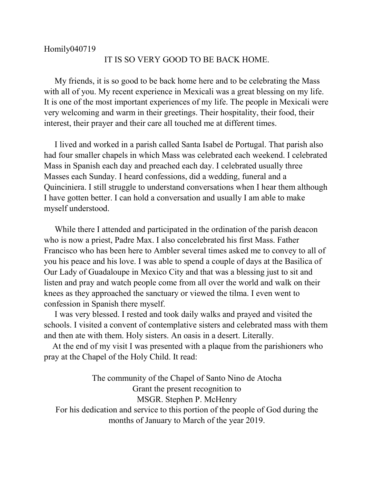## Homily040719

## IT IS SO VERY GOOD TO BE BACK HOME.

 My friends, it is so good to be back home here and to be celebrating the Mass with all of you. My recent experience in Mexicali was a great blessing on my life. It is one of the most important experiences of my life. The people in Mexicali were very welcoming and warm in their greetings. Their hospitality, their food, their interest, their prayer and their care all touched me at different times.

 I lived and worked in a parish called Santa Isabel de Portugal. That parish also had four smaller chapels in which Mass was celebrated each weekend. I celebrated Mass in Spanish each day and preached each day. I celebrated usually three Masses each Sunday. I heard confessions, did a wedding, funeral and a Quinciniera. I still struggle to understand conversations when I hear them although I have gotten better. I can hold a conversation and usually I am able to make myself understood.

 While there I attended and participated in the ordination of the parish deacon who is now a priest, Padre Max. I also concelebrated his first Mass. Father Francisco who has been here to Ambler several times asked me to convey to all of you his peace and his love. I was able to spend a couple of days at the Basilica of Our Lady of Guadaloupe in Mexico City and that was a blessing just to sit and listen and pray and watch people come from all over the world and walk on their knees as they approached the sanctuary or viewed the tilma. I even went to confession in Spanish there myself.

 I was very blessed. I rested and took daily walks and prayed and visited the schools. I visited a convent of contemplative sisters and celebrated mass with them and then ate with them. Holy sisters. An oasis in a desert. Literally.

 At the end of my visit I was presented with a plaque from the parishioners who pray at the Chapel of the Holy Child. It read:

The community of the Chapel of Santo Nino de Atocha Grant the present recognition to MSGR. Stephen P. McHenry For his dedication and service to this portion of the people of God during the months of January to March of the year 2019.